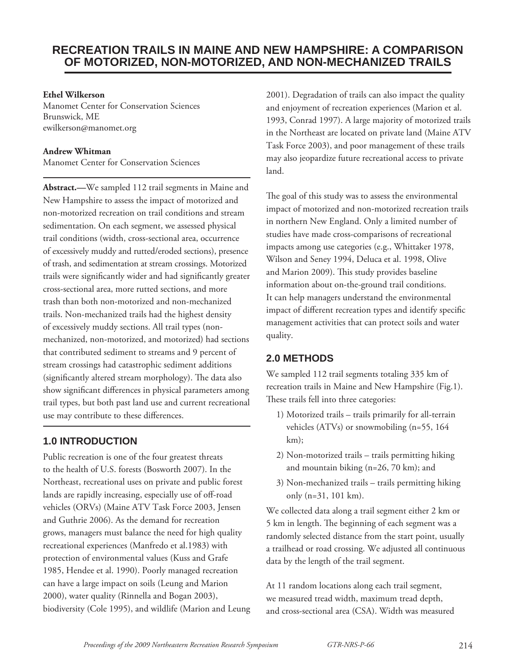# **RECREATION TRAILS IN MAINE AND NEW HAMPSHIRE: A COMPARISON OF MOTORIZED, NON-MOTORIZED, AND NON-MECHANIZED TRAILS**

#### **Ethel Wilkerson**

Manomet Center for Conservation Sciences Brunswick, ME ewilkerson@manomet.org

#### **Andrew Whitman**

Manomet Center for Conservation Sciences

**Abstract.—**We sampled 112 trail segments in Maine and New Hampshire to assess the impact of motorized and non-motorized recreation on trail conditions and stream sedimentation. On each segment, we assessed physical trail conditions (width, cross-sectional area, occurrence of excessively muddy and rutted/eroded sections), presence of trash, and sedimentation at stream crossings. Motorized trails were significantly wider and had significantly greater cross-sectional area, more rutted sections, and more trash than both non-motorized and non-mechanized trails. Non-mechanized trails had the highest density of excessively muddy sections. All trail types (nonmechanized, non-motorized, and motorized) had sections that contributed sediment to streams and 9 percent of stream crossings had catastrophic sediment additions (significantly altered stream morphology). The data also show significant differences in physical parameters among trail types, but both past land use and current recreational use may contribute to these differences.

# **1.0 INTRODUCTION**

Public recreation is one of the four greatest threats to the health of U.S. forests (Bosworth 2007). In the Northeast, recreational uses on private and public forest lands are rapidly increasing, especially use of off-road vehicles (ORVs) (Maine ATV Task Force 2003, Jensen and Guthrie 2006). As the demand for recreation grows, managers must balance the need for high quality recreational experiences (Manfredo et al.1983) with protection of environmental values (Kuss and Grafe 1985, Hendee et al. 1990). Poorly managed recreation can have a large impact on soils (Leung and Marion 2000), water quality (Rinnella and Bogan 2003), biodiversity (Cole 1995), and wildlife (Marion and Leung 2001). Degradation of trails can also impact the quality and enjoyment of recreation experiences (Marion et al. 1993, Conrad 1997). A large majority of motorized trails in the Northeast are located on private land (Maine ATV Task Force 2003), and poor management of these trails may also jeopardize future recreational access to private land.

The goal of this study was to assess the environmental impact of motorized and non-motorized recreation trails in northern New England. Only a limited number of studies have made cross-comparisons of recreational impacts among use categories (e.g., Whittaker 1978, Wilson and Seney 1994, Deluca et al. 1998, Olive and Marion 2009). This study provides baseline information about on-the-ground trail conditions. It can help managers understand the environmental impact of different recreation types and identify specific management activities that can protect soils and water quality.

## **2.0 METHODS**

We sampled 112 trail segments totaling 335 km of recreation trails in Maine and New Hampshire (Fig.1). These trails fell into three categories:

- 1) Motorized trails trails primarily for all-terrain vehicles (ATVs) or snowmobiling (n=55, 164 km);
- 2) Non-motorized trails trails permitting hiking and mountain biking (n=26, 70 km); and
- 3) Non-mechanized trails trails permitting hiking only (n=31, 101 km).

We collected data along a trail segment either 2 km or 5 km in length. The beginning of each segment was a randomly selected distance from the start point, usually a trailhead or road crossing. We adjusted all continuous data by the length of the trail segment.

At 11 random locations along each trail segment, we measured tread width, maximum tread depth, and cross-sectional area (CSA). Width was measured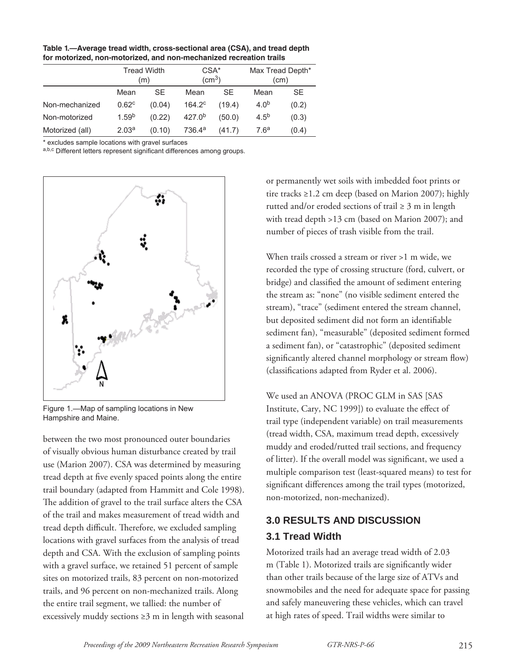**Table 1.—Average tread width, cross-sectional area (CSA), and tread depth for motorized, non-motorized, and non-mechanized recreation trails**

|                 | Tread Width<br>(m) |        | CSA <sup>*</sup><br>$\text{(cm}^3\text{)}$ |           | Max Tread Depth*<br>(cm) |       |
|-----------------|--------------------|--------|--------------------------------------------|-----------|--------------------------|-------|
|                 | Mean               | SE     | Mean                                       | <b>SE</b> | Mean                     | SE    |
| Non-mechanized  | 0.62 <sup>c</sup>  | (0.04) | $164.2^{\circ}$                            | (19.4)    | 4.0 <sup>b</sup>         | (0.2) |
| Non-motorized   | 1.59 <sup>b</sup>  | (0.22) | 427.0 <sup>b</sup>                         | (50.0)    | $4.5^{b}$                | (0.3) |
| Motorized (all) | 2.03 <sup>a</sup>  | (0.10) | 736.4 <sup>a</sup>                         | (41.7)    | 7.6 <sup>a</sup>         | (0.4) |

\* excludes sample locations with gravel surfaces

a,b,c Different letters represent significant differences among groups.



Figure 1.—Map of sampling locations in New Hampshire and Maine.

between the two most pronounced outer boundaries of visually obvious human disturbance created by trail use (Marion 2007). CSA was determined by measuring tread depth at five evenly spaced points along the entire trail boundary (adapted from Hammitt and Cole 1998). The addition of gravel to the trail surface alters the CSA of the trail and makes measurement of tread width and tread depth difficult. Therefore, we excluded sampling locations with gravel surfaces from the analysis of tread depth and CSA. With the exclusion of sampling points with a gravel surface, we retained 51 percent of sample sites on motorized trails, 83 percent on non-motorized trails, and 96 percent on non-mechanized trails. Along the entire trail segment, we tallied: the number of excessively muddy sections ≥3 m in length with seasonal or permanently wet soils with imbedded foot prints or tire tracks ≥1.2 cm deep (based on Marion 2007); highly rutted and/or eroded sections of trail  $\geq 3$  m in length with tread depth >13 cm (based on Marion 2007); and number of pieces of trash visible from the trail.

When trails crossed a stream or river >1 m wide, we recorded the type of crossing structure (ford, culvert, or bridge) and classified the amount of sediment entering the stream as: "none" (no visible sediment entered the stream), "trace" (sediment entered the stream channel, but deposited sediment did not form an identifiable sediment fan), "measurable" (deposited sediment formed a sediment fan), or "catastrophic" (deposited sediment significantly altered channel morphology or stream flow) (classifications adapted from Ryder et al. 2006).

We used an ANOVA (PROC GLM in SAS [SAS Institute, Cary, NC 1999]) to evaluate the effect of trail type (independent variable) on trail measurements (tread width, CSA, maximum tread depth, excessively muddy and eroded/rutted trail sections, and frequency of litter). If the overall model was significant, we used a multiple comparison test (least-squared means) to test for significant differences among the trail types (motorized, non-motorized, non-mechanized).

# **3.0 RESULTS AND DISCUSSION 3.1 Tread Width**

Motorized trails had an average tread width of 2.03 m (Table 1). Motorized trails are significantly wider than other trails because of the large size of ATVs and snowmobiles and the need for adequate space for passing and safely maneuvering these vehicles, which can travel at high rates of speed. Trail widths were similar to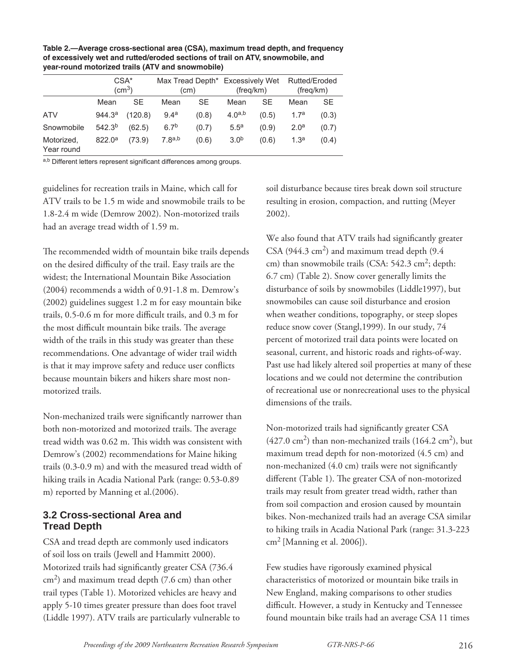|                          | $CSA*$<br>(cm <sup>3</sup> ) |         | Max Tread Depth* Excessively Wet<br>(cm) |       | (freg/km)        |       | Rutted/Eroded<br>(freg/km) |           |
|--------------------------|------------------------------|---------|------------------------------------------|-------|------------------|-------|----------------------------|-----------|
|                          | Mean                         | SE      | Mean                                     | SE    | Mean             | SЕ    | Mean                       | <b>SE</b> |
| <b>ATV</b>               | 944.3 <sup>a</sup>           | (120.8) | 9.4 <sup>a</sup>                         | (0.8) | $4.0^{a,b}$      | (0.5) | 1.7 <sup>a</sup>           | (0.3)     |
| Snowmobile               | $542.3^{b}$                  | (62.5)  | 6.7 <sup>b</sup>                         | (0.7) | 5.5 <sup>a</sup> | (0.9) | 2.0 <sup>a</sup>           | (0.7)     |
| Motorized,<br>Year round | 822.0 <sup>a</sup>           | (73.9)  | 7.8a,b                                   | (0.6) | 3.0 <sup>b</sup> | (0.6) | 1.3 <sup>a</sup>           | (0.4)     |

**Table 2.—Average cross-sectional area (CSA), maximum tread depth, and frequency of excessively wet and rutted/eroded sections of trail on ATV, snowmobile, and year-round motorized trails (ATV and snowmobile)**

a,b Different letters represent significant differences among groups.

guidelines for recreation trails in Maine, which call for ATV trails to be 1.5 m wide and snowmobile trails to be 1.8-2.4 m wide (Demrow 2002). Non-motorized trails had an average tread width of 1.59 m.

The recommended width of mountain bike trails depends on the desired difficulty of the trail. Easy trails are the widest; the International Mountain Bike Association (2004) recommends a width of 0.91-1.8 m. Demrow's (2002) guidelines suggest 1.2 m for easy mountain bike trails, 0.5-0.6 m for more difficult trails, and 0.3 m for the most difficult mountain bike trails. The average width of the trails in this study was greater than these recommendations. One advantage of wider trail width is that it may improve safety and reduce user conflicts because mountain bikers and hikers share most nonmotorized trails.

Non-mechanized trails were significantly narrower than both non-motorized and motorized trails. The average tread width was 0.62 m. This width was consistent with Demrow's (2002) recommendations for Maine hiking trails (0.3-0.9 m) and with the measured tread width of hiking trails in Acadia National Park (range: 0.53-0.89 m) reported by Manning et al.(2006).

#### **3.2 Cross-sectional Area and Tread Depth**

CSA and tread depth are commonly used indicators of soil loss on trails (Jewell and Hammitt 2000). Motorized trails had significantly greater CSA (736.4)  $cm<sup>2</sup>$ ) and maximum tread depth (7.6 cm) than other trail types (Table 1). Motorized vehicles are heavy and apply 5-10 times greater pressure than does foot travel (Liddle 1997). ATV trails are particularly vulnerable to soil disturbance because tires break down soil structure resulting in erosion, compaction, and rutting (Meyer 2002).

We also found that ATV trails had significantly greater CSA (944.3 cm<sup>2</sup>) and maximum tread depth (9.4 cm) than snowmobile trails (CSA:  $542.3 \text{ cm}^2$ ; depth: 6.7 cm) (Table 2). Snow cover generally limits the disturbance of soils by snowmobiles (Liddle1997), but snowmobiles can cause soil disturbance and erosion when weather conditions, topography, or steep slopes reduce snow cover (Stangl,1999). In our study, 74 percent of motorized trail data points were located on seasonal, current, and historic roads and rights-of-way. Past use had likely altered soil properties at many of these locations and we could not determine the contribution of recreational use or nonrecreational uses to the physical dimensions of the trails.

Non-motorized trails had significantly greater CSA  $(427.0 \text{ cm}^2)$  than non-mechanized trails  $(164.2 \text{ cm}^2)$ , but maximum tread depth for non-motorized (4.5 cm) and non-mechanized  $(4.0 \text{ cm})$  trails were not significantly different (Table 1). The greater CSA of non-motorized trails may result from greater tread width, rather than from soil compaction and erosion caused by mountain bikes. Non-mechanized trails had an average CSA similar to hiking trails in Acadia National Park (range: 31.3-223  $\text{cm}^2$  [Manning et al. 2006]).

Few studies have rigorously examined physical characteristics of motorized or mountain bike trails in New England, making comparisons to other studies difficult. However, a study in Kentucky and Tennessee found mountain bike trails had an average CSA 11 times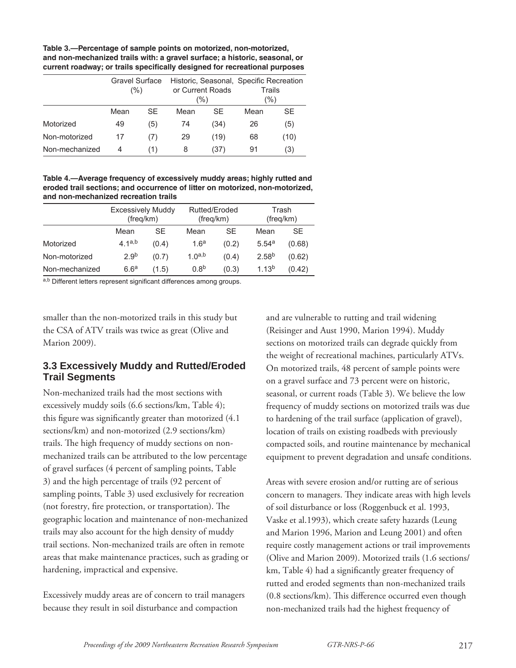**Table 3.—Percentage of sample points on motorized, non-motorized, and non-mechanized trails with: a gravel surface; a historic, seasonal, or**  current roadway; or trails specifically designed for recreational purposes

|                | <b>Gravel Surface</b><br>(%) |           | or Current Roads<br>(%) |      | Historic, Seasonal, Specific Recreation<br>Trails<br>$(\%)$ |      |
|----------------|------------------------------|-----------|-------------------------|------|-------------------------------------------------------------|------|
|                | Mean                         | <b>SF</b> | Mean                    | SE   | Mean                                                        | SE   |
| Motorized      | 49                           | (5)       | 74                      | (34) | 26                                                          | (5)  |
| Non-motorized  | 17                           | (7)       | 29                      | (19) | 68                                                          | (10) |
| Non-mechanized | 4                            | (1)       | 8                       | (37) | 91                                                          | (3)  |

**Table 4.—Average frequency of excessively muddy areas; highly rutted and eroded trail sections; and occurrence of litter on motorized, non-motorized, and non-mechanized recreation trails**

|                | <b>Excessively Muddy</b><br>(freq/km) |           | Rutted/Eroded<br>(freq/km) |       | Trash<br>(freg/km) |        |
|----------------|---------------------------------------|-----------|----------------------------|-------|--------------------|--------|
|                | Mean                                  | <b>SF</b> | Mean                       | SE    | Mean               | SE     |
| Motorized      | 4.1a,b                                | (0.4)     | 1.6 <sup>a</sup>           | (0.2) | 5.54a              | (0.68) |
| Non-motorized  | 2.9 <sup>b</sup>                      | (0.7)     | 1.0a,b                     | (0.4) | 2.58 <sup>b</sup>  | (0.62) |
| Non-mechanized | 6.6 <sup>a</sup>                      | (1.5)     | 0.8 <sup>b</sup>           | (0.3) | 1.13 <sup>b</sup>  | (0.42) |

a,b Different letters represent significant differences among groups.

smaller than the non-motorized trails in this study but the CSA of ATV trails was twice as great (Olive and Marion 2009).

#### **3.3 Excessively Muddy and Rutted/Eroded Trail Segments**

Non-mechanized trails had the most sections with excessively muddy soils (6.6 sections/km, Table 4); this figure was significantly greater than motorized  $(4.1)$ sections/km) and non-motorized (2.9 sections/km) trails. The high frequency of muddy sections on nonmechanized trails can be attributed to the low percentage of gravel surfaces (4 percent of sampling points, Table 3) and the high percentage of trails (92 percent of sampling points, Table 3) used exclusively for recreation (not forestry, fire protection, or transportation). The geographic location and maintenance of non-mechanized trails may also account for the high density of muddy trail sections. Non-mechanized trails are often in remote areas that make maintenance practices, such as grading or hardening, impractical and expensive.

Excessively muddy areas are of concern to trail managers because they result in soil disturbance and compaction

and are vulnerable to rutting and trail widening (Reisinger and Aust 1990, Marion 1994). Muddy sections on motorized trails can degrade quickly from the weight of recreational machines, particularly ATVs. On motorized trails, 48 percent of sample points were on a gravel surface and 73 percent were on historic, seasonal, or current roads (Table 3). We believe the low frequency of muddy sections on motorized trails was due to hardening of the trail surface (application of gravel), location of trails on existing roadbeds with previously compacted soils, and routine maintenance by mechanical equipment to prevent degradation and unsafe conditions.

Areas with severe erosion and/or rutting are of serious concern to managers. They indicate areas with high levels of soil disturbance or loss (Roggenbuck et al. 1993, Vaske et al.1993), which create safety hazards (Leung and Marion 1996, Marion and Leung 2001) and often require costly management actions or trail improvements (Olive and Marion 2009). Motorized trails (1.6 sections/ km, Table 4) had a significantly greater frequency of rutted and eroded segments than non-mechanized trails  $(0.8 \text{ sections/km})$ . This difference occurred even though non-mechanized trails had the highest frequency of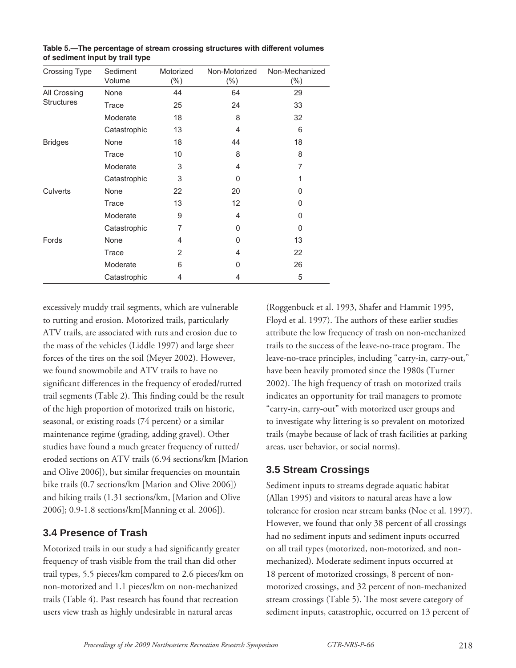| <b>Crossing Type</b> | Sediment     | Motorized      | Non-Motorized  | Non-Mechanized |
|----------------------|--------------|----------------|----------------|----------------|
|                      | Volume       | $(\% )$        | $(\% )$        | $(\% )$        |
| All Crossing         | None         | 44             | 64             | 29             |
| <b>Structures</b>    | Trace        | 25             | 24             | 33             |
|                      | Moderate     | 18             | 8              | 32             |
|                      | Catastrophic | 13             | 4              | 6              |
| <b>Bridges</b>       | None         | 18             | 44             | 18             |
|                      | Trace        | 10             | 8              | 8              |
|                      | Moderate     | 3              | 4              | 7              |
|                      | Catastrophic | 3              | 0              | 1              |
| Culverts             | None         | 22             | 20             | 0              |
|                      | Trace        | 13             | 12             | 0              |
|                      | Moderate     | 9              | 4              | 0              |
|                      | Catastrophic | 7              | 0              | 0              |
| Fords                | None         | 4              | 0              | 13             |
|                      | Trace        | $\overline{2}$ | $\overline{4}$ | 22             |
|                      | Moderate     | 6              | 0              | 26             |
|                      | Catastrophic | 4              | 4              | 5              |

**Table 5.—The percentage of stream crossing structures with different volumes of sediment input by trail type**

excessively muddy trail segments, which are vulnerable to rutting and erosion. Motorized trails, particularly ATV trails, are associated with ruts and erosion due to the mass of the vehicles (Liddle 1997) and large sheer forces of the tires on the soil (Meyer 2002). However, we found snowmobile and ATV trails to have no significant differences in the frequency of eroded/rutted trail segments (Table 2). This finding could be the result of the high proportion of motorized trails on historic, seasonal, or existing roads (74 percent) or a similar maintenance regime (grading, adding gravel). Other studies have found a much greater frequency of rutted/ eroded sections on ATV trails (6.94 sections/km [Marion and Olive 2006]), but similar frequencies on mountain bike trails (0.7 sections/km [Marion and Olive 2006]) and hiking trails (1.31 sections/km, [Marion and Olive 2006]; 0.9-1.8 sections/km[Manning et al. 2006]).

#### **3.4 Presence of Trash**

Motorized trails in our study a had significantly greater frequency of trash visible from the trail than did other trail types, 5.5 pieces/km compared to 2.6 pieces/km on non-motorized and 1.1 pieces/km on non-mechanized trails (Table 4). Past research has found that recreation users view trash as highly undesirable in natural areas

(Roggenbuck et al. 1993, Shafer and Hammit 1995, Floyd et al. 1997). The authors of these earlier studies attribute the low frequency of trash on non-mechanized trails to the success of the leave-no-trace program. The leave-no-trace principles, including "carry-in, carry-out," have been heavily promoted since the 1980s (Turner 2002). The high frequency of trash on motorized trails indicates an opportunity for trail managers to promote "carry-in, carry-out" with motorized user groups and to investigate why littering is so prevalent on motorized trails (maybe because of lack of trash facilities at parking areas, user behavior, or social norms).

#### **3.5 Stream Crossings**

Sediment inputs to streams degrade aquatic habitat (Allan 1995) and visitors to natural areas have a low tolerance for erosion near stream banks (Noe et al. 1997). However, we found that only 38 percent of all crossings had no sediment inputs and sediment inputs occurred on all trail types (motorized, non-motorized, and nonmechanized). Moderate sediment inputs occurred at 18 percent of motorized crossings, 8 percent of nonmotorized crossings, and 32 percent of non-mechanized stream crossings (Table 5). The most severe category of sediment inputs, catastrophic, occurred on 13 percent of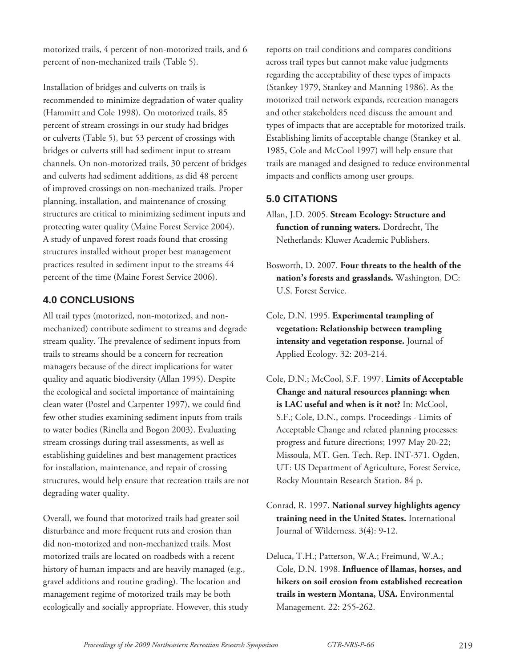motorized trails, 4 percent of non-motorized trails, and 6 percent of non-mechanized trails (Table 5).

Installation of bridges and culverts on trails is recommended to minimize degradation of water quality (Hammitt and Cole 1998). On motorized trails, 85 percent of stream crossings in our study had bridges or culverts (Table 5), but 53 percent of crossings with bridges or culverts still had sediment input to stream channels. On non-motorized trails, 30 percent of bridges and culverts had sediment additions, as did 48 percent of improved crossings on non-mechanized trails. Proper planning, installation, and maintenance of crossing structures are critical to minimizing sediment inputs and protecting water quality (Maine Forest Service 2004). A study of unpaved forest roads found that crossing structures installed without proper best management practices resulted in sediment input to the streams 44 percent of the time (Maine Forest Service 2006).

## **4.0 CONCLUSIONS**

All trail types (motorized, non-motorized, and nonmechanized) contribute sediment to streams and degrade stream quality. The prevalence of sediment inputs from trails to streams should be a concern for recreation managers because of the direct implications for water quality and aquatic biodiversity (Allan 1995). Despite the ecological and societal importance of maintaining clean water (Postel and Carpenter 1997), we could find few other studies examining sediment inputs from trails to water bodies (Rinella and Bogon 2003). Evaluating stream crossings during trail assessments, as well as establishing guidelines and best management practices for installation, maintenance, and repair of crossing structures, would help ensure that recreation trails are not degrading water quality.

Overall, we found that motorized trails had greater soil disturbance and more frequent ruts and erosion than did non-motorized and non-mechanized trails. Most motorized trails are located on roadbeds with a recent history of human impacts and are heavily managed (e.g., gravel additions and routine grading). The location and management regime of motorized trails may be both ecologically and socially appropriate. However, this study reports on trail conditions and compares conditions across trail types but cannot make value judgments regarding the acceptability of these types of impacts (Stankey 1979, Stankey and Manning 1986). As the motorized trail network expands, recreation managers and other stakeholders need discuss the amount and types of impacts that are acceptable for motorized trails. Establishing limits of acceptable change (Stankey et al. 1985, Cole and McCool 1997) will help ensure that trails are managed and designed to reduce environmental impacts and conflicts among user groups.

## **5.0 CITATIONS**

- Allan, J.D. 2005. **Stream Ecology: Structure and**  function of running waters. Dordrecht, The Netherlands: Kluwer Academic Publishers.
- Bosworth, D. 2007. **Four threats to the health of the nation's forests and grasslands.** Washington, DC: U.S. Forest Service.
- Cole, D.N. 1995. **Experimental trampling of vegetation: Relationship between trampling intensity and vegetation response.** Journal of Applied Ecology. 32: 203-214.
- Cole, D.N.; McCool, S.F. 1997. **Limits of Acceptable Change and natural resources planning: when is LAC useful and when is it not?** In: McCool, S.F.; Cole, D.N., comps. Proceedings - Limits of Acceptable Change and related planning processes: progress and future directions; 1997 May 20-22; Missoula, MT. Gen. Tech. Rep. INT-371. Ogden, UT: US Department of Agriculture, Forest Service, Rocky Mountain Research Station. 84 p.
- Conrad, R. 1997. **National survey highlights agency training need in the United States.** International Journal of Wilderness. 3(4): 9-12.
- Deluca, T.H.; Patterson, W.A.; Freimund, W.A.; Cole, D.N. 1998. Influence of llamas, horses, and **hikers on soil erosion from established recreation trails in western Montana, USA.** Environmental Management. 22: 255-262.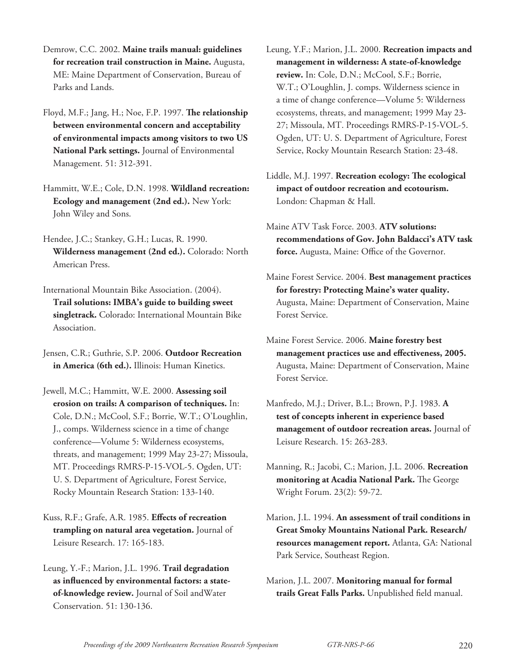- Demrow, C.C. 2002. **Maine trails manual: guidelines for recreation trail construction in Maine.** Augusta, ME: Maine Department of Conservation, Bureau of Parks and Lands.
- Floyd, M.F.; Jang, H.; Noe, F.P. 1997. **The relationship between environmental concern and acceptability of environmental impacts among visitors to two US National Park settings.** Journal of Environmental Management. 51: 312-391.
- Hammitt, W.E.; Cole, D.N. 1998. **Wildland recreation: Ecology and management (2nd ed.).** New York: John Wiley and Sons.
- Hendee, J.C.; Stankey, G.H.; Lucas, R. 1990. **Wilderness management (2nd ed.).** Colorado: North American Press.
- International Mountain Bike Association. (2004). **Trail solutions: IMBA's guide to building sweet singletrack.** Colorado: International Mountain Bike Association.
- Jensen, C.R.; Guthrie, S.P. 2006. **Outdoor Recreation in America (6th ed.).** Illinois: Human Kinetics.
- Jewell, M.C.; Hammitt, W.E. 2000. **Assessing soil erosion on trails: A comparison of techniques.** In: Cole, D.N.; McCool, S.F.; Borrie, W.T.; O'Loughlin, J., comps. Wilderness science in a time of change conference—Volume 5: Wilderness ecosystems, threats, and management; 1999 May 23-27; Missoula, MT. Proceedings RMRS-P-15-VOL-5. Ogden, UT: U. S. Department of Agriculture, Forest Service, Rocky Mountain Research Station: 133-140.
- Kuss, R.F.; Grafe, A.R. 1985. Effects of recreation **trampling on natural area vegetation.** Journal of Leisure Research. 17: 165-183.
- Leung, Y.-F.; Marion, J.L. 1996. **Trail degradation**  as influenced by environmental factors: a state**of-knowledge review.** Journal of Soil andWater Conservation. 51: 130-136.
- Leung, Y.F.; Marion, J.L. 2000. **Recreation impacts and management in wilderness: A state-of-knowledge review.** In: Cole, D.N.; McCool, S.F.; Borrie, W.T.; O'Loughlin, J. comps. Wilderness science in a time of change conference—Volume 5: Wilderness ecosystems, threats, and management; 1999 May 23- 27; Missoula, MT. Proceedings RMRS-P-15-VOL-5. Ogden, UT: U. S. Department of Agriculture, Forest Service, Rocky Mountain Research Station: 23-48.
- Liddle, M.J. 1997. **Recreation ecology: The ecological impact of outdoor recreation and ecotourism.**  London: Chapman & Hall.
- Maine ATV Task Force. 2003. **ATV solutions: recommendations of Gov. John Baldacci's ATV task**  force. Augusta, Maine: Office of the Governor.
- Maine Forest Service. 2004. **Best management practices for forestry: Protecting Maine's water quality.** Augusta, Maine: Department of Conservation, Maine Forest Service.
- Maine Forest Service. 2006. **Maine forestry best**  management practices use and effectiveness, 2005. Augusta, Maine: Department of Conservation, Maine Forest Service.
- Manfredo, M.J.; Driver, B.L.; Brown, P.J. 1983. **A test of concepts inherent in experience based management of outdoor recreation areas.** Journal of Leisure Research. 15: 263-283.
- Manning, R.; Jacobi, C.; Marion, J.L. 2006. **Recreation monitoring at Acadia National Park.** The George Wright Forum. 23(2): 59-72.
- Marion, J.L. 1994. **An assessment of trail conditions in Great Smoky Mountains National Park. Research/ resources management report.** Atlanta, GA: National Park Service, Southeast Region.
- Marion, J.L. 2007. **Monitoring manual for formal**  trails Great Falls Parks. Unpublished field manual.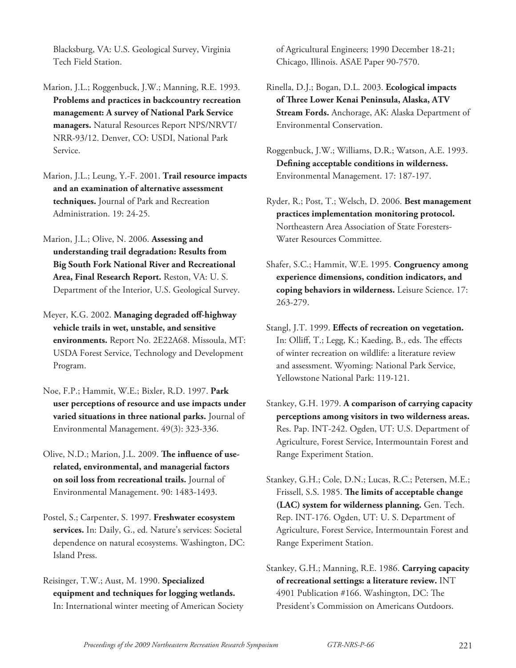Blacksburg, VA: U.S. Geological Survey, Virginia Tech Field Station.

- Marion, J.L.; Roggenbuck, J.W.; Manning, R.E. 1993. **Problems and practices in backcountry recreation management: A survey of National Park Service managers.** Natural Resources Report NPS/NRVT/ NRR-93/12. Denver, CO: USDI, National Park Service.
- Marion, J.L.; Leung, Y.-F. 2001. **Trail resource impacts and an examination of alternative assessment techniques.** Journal of Park and Recreation Administration. 19: 24-25.
- Marion, J.L.; Olive, N. 2006. **Assessing and understanding trail degradation: Results from Big South Fork National River and Recreational Area, Final Research Report.** Reston, VA: U. S. Department of the Interior, U.S. Geological Survey.
- Meyer, K.G. 2002. **Managing degraded off -highway vehicle trails in wet, unstable, and sensitive environments.** Report No. 2E22A68. Missoula, MT: USDA Forest Service, Technology and Development Program.
- Noe, F.P.; Hammit, W.E.; Bixler, R.D. 1997. **Park user perceptions of resource and use impacts under varied situations in three national parks.** Journal of Environmental Management. 49(3): 323-336.
- Olive, N.D.; Marion, J.L. 2009. The influence of use**related, environmental, and managerial factors on soil loss from recreational trails.** Journal of Environmental Management. 90: 1483-1493.
- Postel, S.; Carpenter, S. 1997. **Freshwater ecosystem services.** In: Daily, G., ed. Nature's services: Societal dependence on natural ecosystems. Washington, DC: Island Press.
- Reisinger, T.W.; Aust, M. 1990. **Specialized equipment and techniques for logging wetlands.** In: International winter meeting of American Society

of Agricultural Engineers; 1990 December 18-21; Chicago, Illinois. ASAE Paper 90-7570.

- Rinella, D.J.; Bogan, D.L. 2003. **Ecological impacts of Th ree Lower Kenai Peninsula, Alaska, ATV Stream Fords.** Anchorage, AK: Alaska Department of Environmental Conservation.
- Roggenbuck, J.W.; Williams, D.R.; Watson, A.E. 1993. Defining acceptable conditions in wilderness. Environmental Management. 17: 187-197.
- Ryder, R.; Post, T.; Welsch, D. 2006. **Best management practices implementation monitoring protocol.** Northeastern Area Association of State Foresters-Water Resources Committee.
- Shafer, S.C.; Hammit, W.E. 1995. **Congruency among experience dimensions, condition indicators, and coping behaviors in wilderness.** Leisure Science. 17: 263-279.
- Stangl, J.T. 1999. **Effects of recreation on vegetation.** In: Olliff, T.; Legg, K.; Kaeding, B., eds. The effects of winter recreation on wildlife: a literature review and assessment. Wyoming: National Park Service, Yellowstone National Park: 119-121.
- Stankey, G.H. 1979. **A comparison of carrying capacity perceptions among visitors in two wilderness areas.** Res. Pap. INT-242. Ogden, UT: U.S. Department of Agriculture, Forest Service, Intermountain Forest and Range Experiment Station.
- Stankey, G.H.; Cole, D.N.; Lucas, R.C.; Petersen, M.E.; Frissell, S.S. 1985. The limits of acceptable change **(LAC) system for wilderness planning.** Gen. Tech. Rep. INT-176. Ogden, UT: U. S. Department of Agriculture, Forest Service, Intermountain Forest and Range Experiment Station.
- Stankey, G.H.; Manning, R.E. 1986. **Carrying capacity of recreational settings: a literature review.** INT 4901 Publication #166. Washington, DC: The President's Commission on Americans Outdoors.